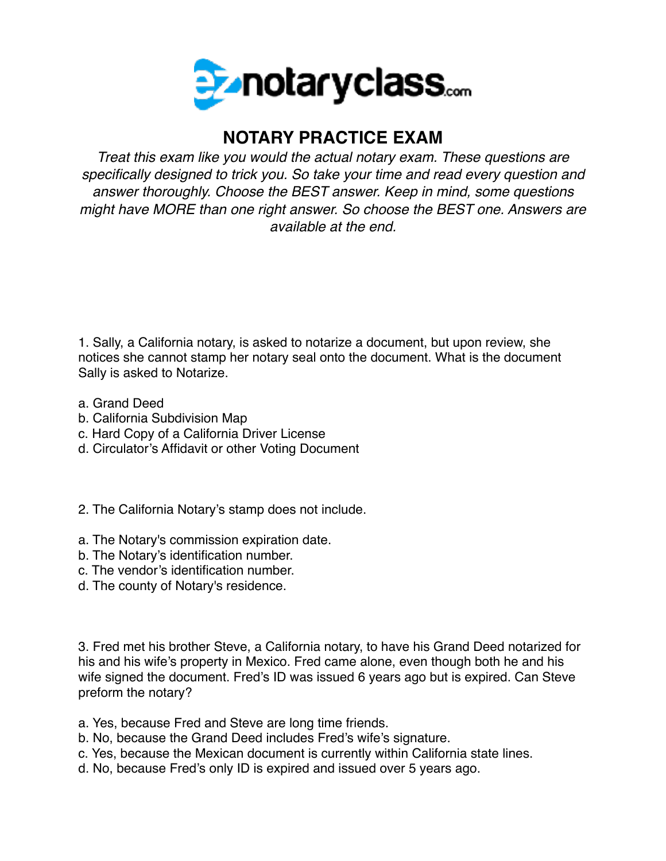

## **NOTARY PRACTICE EXAM**

*Treat this exam like you would the actual notary exam. These questions are specifically designed to trick you. So take your time and read every question and answer thoroughly. Choose the BEST answer. Keep in mind, some questions might have MORE than one right answer. So choose the BEST one. Answers are available at the end.*

1. Sally, a California notary, is asked to notarize a document, but upon review, she notices she cannot stamp her notary seal onto the document. What is the document Sally is asked to Notarize.

- a. Grand Deed
- b. California Subdivision Map
- c. Hard Copy of a California Driver License
- d. Circulator's Affidavit or other Voting Document
- 2. The California Notary's stamp does not include.
- a. The Notary's commission expiration date.
- b. The Notary's identification number.
- c. The vendor's identification number.
- d. The county of Notary's residence.

3. Fred met his brother Steve, a California notary, to have his Grand Deed notarized for his and his wife's property in Mexico. Fred came alone, even though both he and his wife signed the document. Fred's ID was issued 6 years ago but is expired. Can Steve preform the notary?

a. Yes, because Fred and Steve are long time friends.

b. No, because the Grand Deed includes Fred's wife's signature.

- c. Yes, because the Mexican document is currently within California state lines.
- d. No, because Fred's only ID is expired and issued over 5 years ago.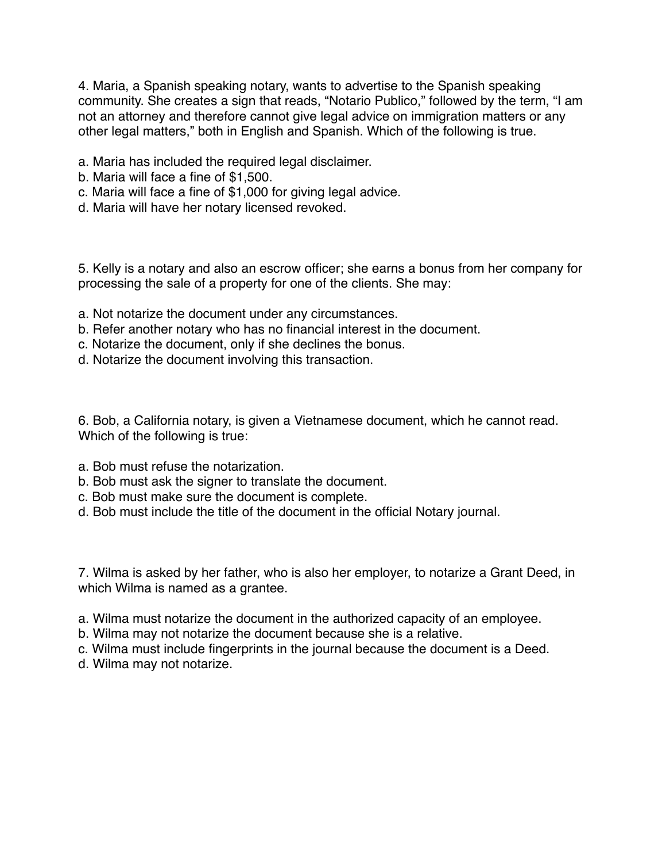4. Maria, a Spanish speaking notary, wants to advertise to the Spanish speaking community. She creates a sign that reads, "Notario Publico," followed by the term, "I am not an attorney and therefore cannot give legal advice on immigration matters or any other legal matters," both in English and Spanish. Which of the following is true.

- a. Maria has included the required legal disclaimer.
- b. Maria will face a fine of \$1,500.
- c. Maria will face a fine of \$1,000 for giving legal advice.
- d. Maria will have her notary licensed revoked.

5. Kelly is a notary and also an escrow officer; she earns a bonus from her company for processing the sale of a property for one of the clients. She may:

- a. Not notarize the document under any circumstances.
- b. Refer another notary who has no financial interest in the document.
- c. Notarize the document, only if she declines the bonus.
- d. Notarize the document involving this transaction.

6. Bob, a California notary, is given a Vietnamese document, which he cannot read. Which of the following is true:

- a. Bob must refuse the notarization.
- b. Bob must ask the signer to translate the document.
- c. Bob must make sure the document is complete.
- d. Bob must include the title of the document in the official Notary journal.

7. Wilma is asked by her father, who is also her employer, to notarize a Grant Deed, in which Wilma is named as a grantee.

- a. Wilma must notarize the document in the authorized capacity of an employee.
- b. Wilma may not notarize the document because she is a relative.
- c. Wilma must include fingerprints in the journal because the document is a Deed.
- d. Wilma may not notarize.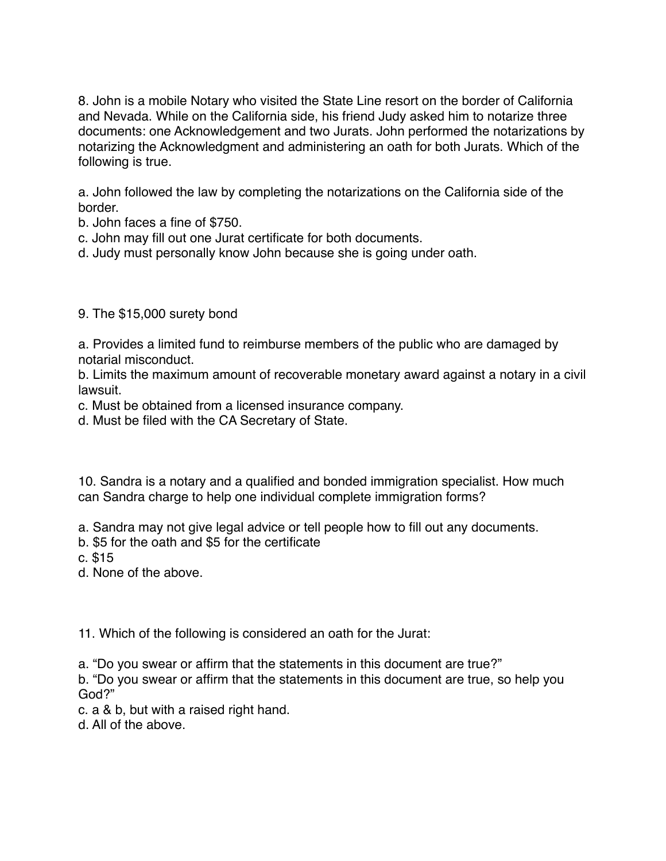8. John is a mobile Notary who visited the State Line resort on the border of California and Nevada. While on the California side, his friend Judy asked him to notarize three documents: one Acknowledgement and two Jurats. John performed the notarizations by notarizing the Acknowledgment and administering an oath for both Jurats. Which of the following is true.

a. John followed the law by completing the notarizations on the California side of the border.

b. John faces a fine of \$750.

c. John may fill out one Jurat certificate for both documents.

d. Judy must personally know John because she is going under oath.

## 9. The \$15,000 surety bond

a. Provides a limited fund to reimburse members of the public who are damaged by notarial misconduct.

b. Limits the maximum amount of recoverable monetary award against a notary in a civil lawsuit.

c. Must be obtained from a licensed insurance company.

d. Must be filed with the CA Secretary of State.

10. Sandra is a notary and a qualified and bonded immigration specialist. How much can Sandra charge to help one individual complete immigration forms?

a. Sandra may not give legal advice or tell people how to fill out any documents.

b. \$5 for the oath and \$5 for the certificate

c. \$15

d. None of the above.

11. Which of the following is considered an oath for the Jurat:

a. "Do you swear or affirm that the statements in this document are true?"

b. "Do you swear or affirm that the statements in this document are true, so help you God?"

c. a & b, but with a raised right hand.

d. All of the above.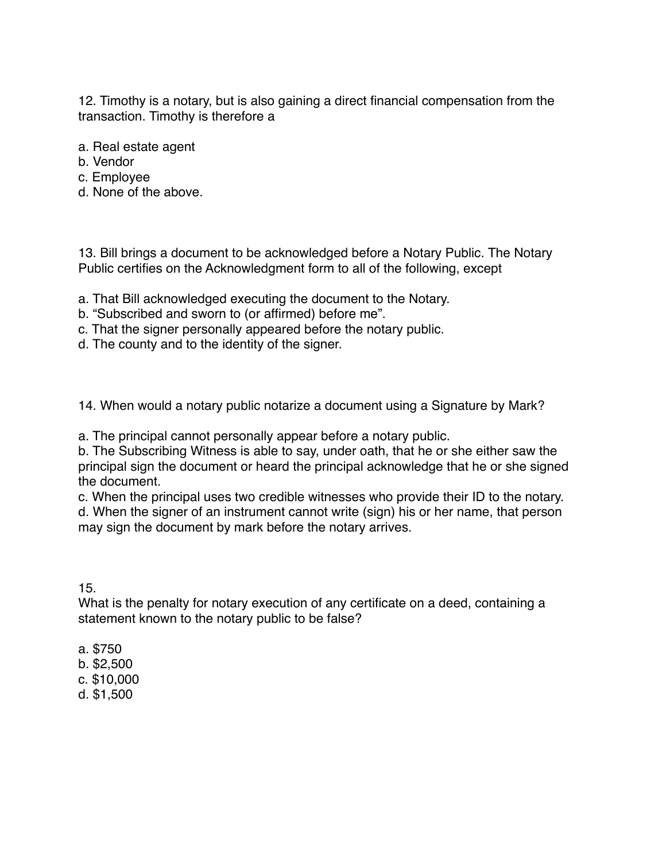12. Timothy is a notary, but is also gaining a direct financial compensation from the transaction. Timothy is therefore a

- a. Real estate agent
- b. Vendor
- c. Employee
- d. None of the above.

13. Bill brings a document to be acknowledged before a Notary Public. The Notary Public certifies on the Acknowledgment form to all of the following, except

- a. That Bill acknowledged executing the document to the Notary.
- b. "Subscribed and sworn to (or affirmed) before me".
- c. That the signer personally appeared before the notary public.
- d. The county and to the identity of the signer.

14. When would a notary public notarize a document using a Signature by Mark?

a. The principal cannot personally appear before a notary public.

b. The Subscribing Witness is able to say, under oath, that he or she either saw the principal sign the document or heard the principal acknowledge that he or she signed the document.

c. When the principal uses two credible witnesses who provide their ID to the notary. d. When the signer of an instrument cannot write (sign) his or her name, that person may sign the document by mark before the notary arrives.

15.

What is the penalty for notary execution of any certificate on a deed, containing a statement known to the notary public to be false?

- a. \$750
- b. \$2,500
- c. \$10,000
- d. \$1,500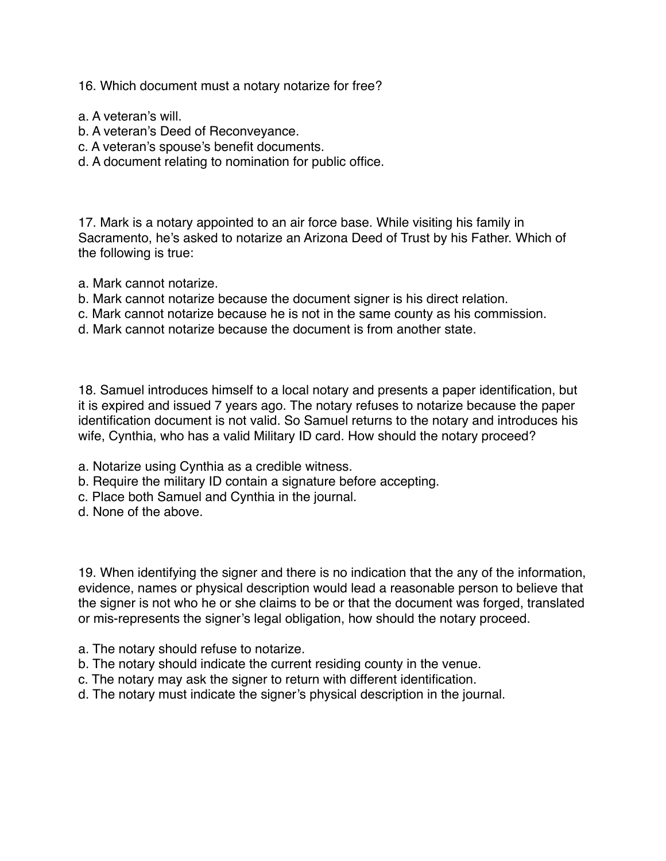16. Which document must a notary notarize for free?

- a. A veteran's will.
- b. A veteran's Deed of Reconveyance.
- c. A veteran's spouse's benefit documents.
- d. A document relating to nomination for public office.

17. Mark is a notary appointed to an air force base. While visiting his family in Sacramento, he's asked to notarize an Arizona Deed of Trust by his Father. Which of the following is true:

- a. Mark cannot notarize.
- b. Mark cannot notarize because the document signer is his direct relation.
- c. Mark cannot notarize because he is not in the same county as his commission.
- d. Mark cannot notarize because the document is from another state.

18. Samuel introduces himself to a local notary and presents a paper identification, but it is expired and issued 7 years ago. The notary refuses to notarize because the paper identification document is not valid. So Samuel returns to the notary and introduces his wife, Cynthia, who has a valid Military ID card. How should the notary proceed?

- a. Notarize using Cynthia as a credible witness.
- b. Require the military ID contain a signature before accepting.
- c. Place both Samuel and Cynthia in the journal.
- d. None of the above.

19. When identifying the signer and there is no indication that the any of the information, evidence, names or physical description would lead a reasonable person to believe that the signer is not who he or she claims to be or that the document was forged, translated or mis-represents the signer's legal obligation, how should the notary proceed.

- a. The notary should refuse to notarize.
- b. The notary should indicate the current residing county in the venue.
- c. The notary may ask the signer to return with different identification.
- d. The notary must indicate the signer's physical description in the journal.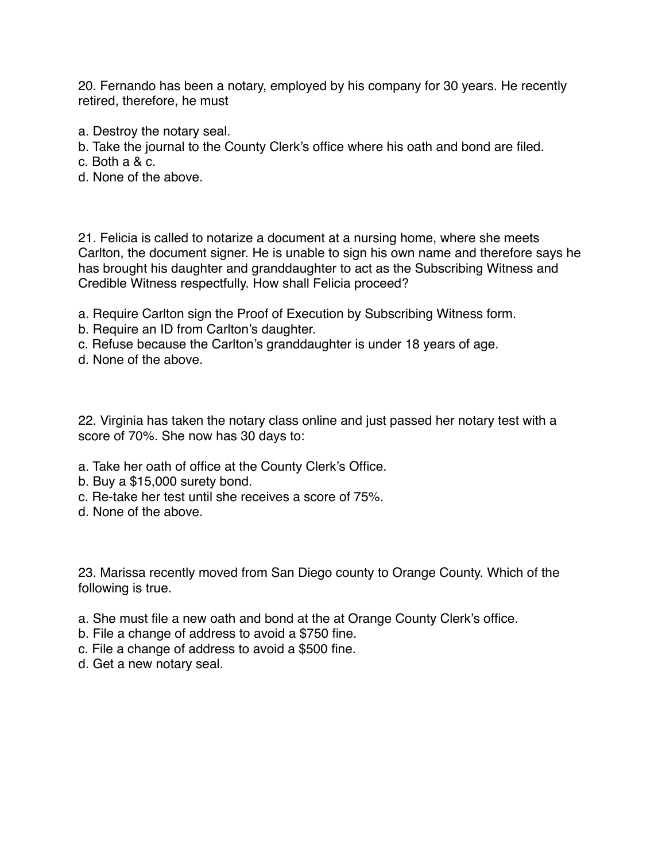20. Fernando has been a notary, employed by his company for 30 years. He recently retired, therefore, he must

- a. Destroy the notary seal.
- b. Take the journal to the County Clerk's office where his oath and bond are filed.
- c. Both a & c.
- d. None of the above.

21. Felicia is called to notarize a document at a nursing home, where she meets Carlton, the document signer. He is unable to sign his own name and therefore says he has brought his daughter and granddaughter to act as the Subscribing Witness and Credible Witness respectfully. How shall Felicia proceed?

- a. Require Carlton sign the Proof of Execution by Subscribing Witness form.
- b. Require an ID from Carlton's daughter.
- c. Refuse because the Carlton's granddaughter is under 18 years of age.
- d. None of the above.

22. Virginia has taken the notary class online and just passed her notary test with a score of 70%. She now has 30 days to:

- a. Take her oath of office at the County Clerk's Office.
- b. Buy a \$15,000 surety bond.
- c. Re-take her test until she receives a score of 75%.
- d. None of the above.

23. Marissa recently moved from San Diego county to Orange County. Which of the following is true.

- a. She must file a new oath and bond at the at Orange County Clerk's office.
- b. File a change of address to avoid a \$750 fine.
- c. File a change of address to avoid a \$500 fine.
- d. Get a new notary seal.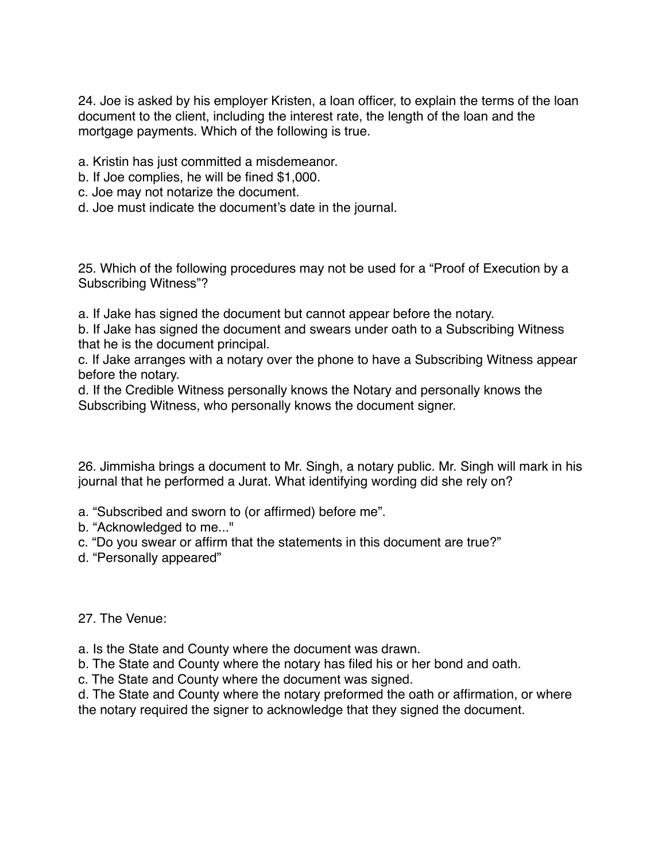24. Joe is asked by his employer Kristen, a loan officer, to explain the terms of the loan document to the client, including the interest rate, the length of the loan and the mortgage payments. Which of the following is true.

a. Kristin has just committed a misdemeanor.

- b. If Joe complies, he will be fined \$1,000.
- c. Joe may not notarize the document.
- d. Joe must indicate the document's date in the journal.

25. Which of the following procedures may not be used for a "Proof of Execution by a Subscribing Witness"?

a. If Jake has signed the document but cannot appear before the notary.

b. If Jake has signed the document and swears under oath to a Subscribing Witness that he is the document principal.

c. If Jake arranges with a notary over the phone to have a Subscribing Witness appear before the notary.

d. If the Credible Witness personally knows the Notary and personally knows the Subscribing Witness, who personally knows the document signer.

26. Jimmisha brings a document to Mr. Singh, a notary public. Mr. Singh will mark in his journal that he performed a Jurat. What identifying wording did she rely on?

a. "Subscribed and sworn to (or affirmed) before me".

b. "Acknowledged to me..."

c. "Do you swear or affirm that the statements in this document are true?"

d. "Personally appeared"

27. The Venue:

a. Is the State and County where the document was drawn.

b. The State and County where the notary has filed his or her bond and oath.

c. The State and County where the document was signed.

d. The State and County where the notary preformed the oath or affirmation, or where the notary required the signer to acknowledge that they signed the document.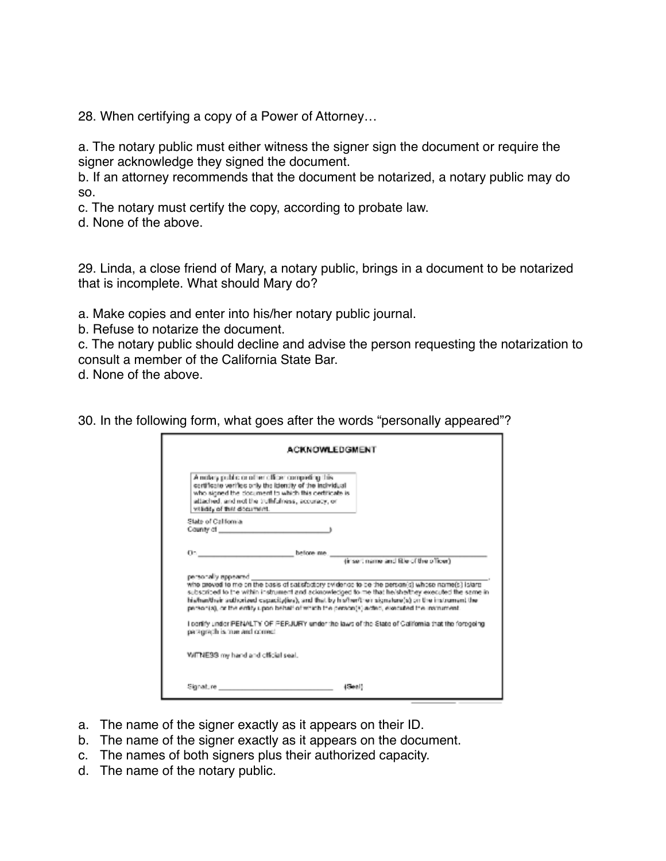28. When certifying a copy of a Power of Attorney…

a. The notary public must either witness the signer sign the document or require the signer acknowledge they signed the document.

b. If an attorney recommends that the document be notarized, a notary public may do so.

c. The notary must certify the copy, according to probate law.

d. None of the above.

29. Linda, a close friend of Mary, a notary public, brings in a document to be notarized that is incomplete. What should Mary do?

a. Make copies and enter into his/her notary public journal.

b. Refuse to notarize the document.

c. The notary public should decline and advise the person requesting the notarization to consult a member of the California State Bar.

d. None of the above.

30. In the following form, what goes after the words "personally appeared"?

| <b>ACKNOWLEDGMENT</b>                                                                                                                                                                                                                                   |                                                                                                                                                                                                                                                                                                               |
|---------------------------------------------------------------------------------------------------------------------------------------------------------------------------------------------------------------------------------------------------------|---------------------------------------------------------------------------------------------------------------------------------------------------------------------------------------------------------------------------------------------------------------------------------------------------------------|
| A notary public or other officer completing this.<br>certificate verifies only the identity of the incividual<br>who signed the clocument to which this dertificate is<br>attached, and not the truthfulness, accuracy, or<br>vitati, of that document. |                                                                                                                                                                                                                                                                                                               |
| State of California                                                                                                                                                                                                                                     |                                                                                                                                                                                                                                                                                                               |
| County of _______________________                                                                                                                                                                                                                       |                                                                                                                                                                                                                                                                                                               |
| On.<br>helione me.                                                                                                                                                                                                                                      | (insert name and fitle of the officer)                                                                                                                                                                                                                                                                        |
| personally appeared<br>personiză, ce the entity upon behalf of which the person(s) acted, executed the instrument.                                                                                                                                      | who proved to me on the basis of satisfactory svidence to be the person(s) whose name(s) is/argi<br>subscribed to the within instrument and acknowledged to me that he/shelthey executed the same in<br>his/har/their suthorized especiativise), and that by his/her/their signature(s) on the instrument the |
| paragraph is true and correct.                                                                                                                                                                                                                          | i partify under PENALTY OF PERJURY under the laws of the State of California that the foregoing.                                                                                                                                                                                                              |
| WITNE33 my hand and official seal.                                                                                                                                                                                                                      |                                                                                                                                                                                                                                                                                                               |
|                                                                                                                                                                                                                                                         |                                                                                                                                                                                                                                                                                                               |

- a. The name of the signer exactly as it appears on their ID.
- b. The name of the signer exactly as it appears on the document.
- c. The names of both signers plus their authorized capacity.
- d. The name of the notary public.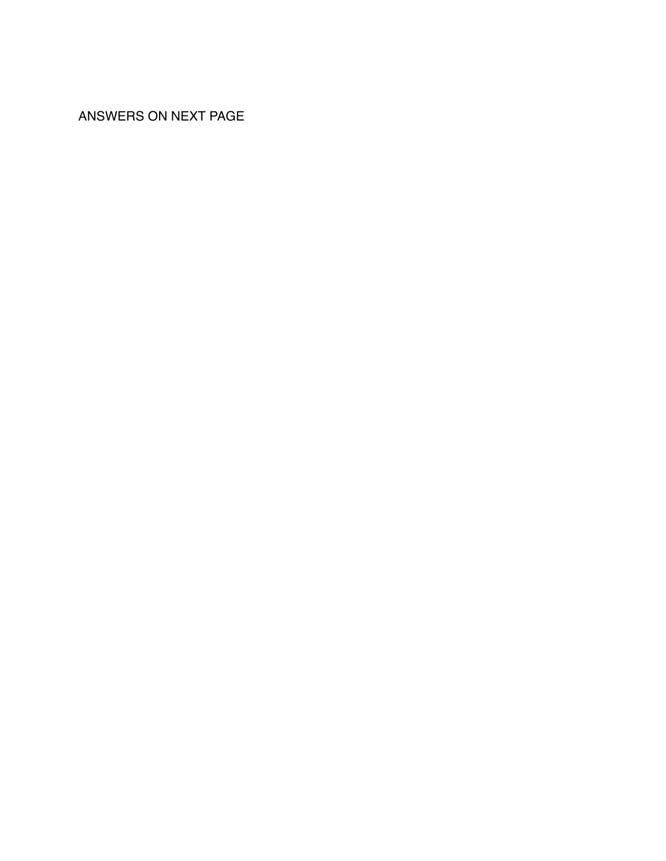ANSWERS ON NEXT PAGE